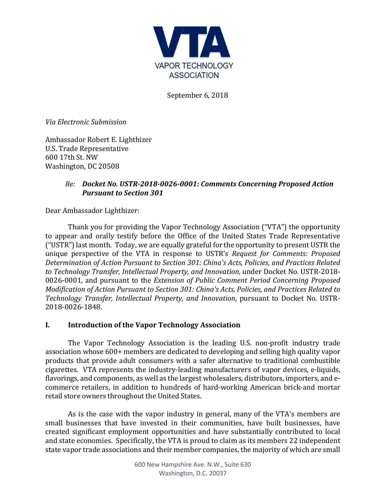

September 6, 2018

*Via Electronic Submission*

Ambassador Robert E. Lighthizer U.S. Trade Representative 600 17th St. NW Washington, DC 20508

# *Re: Docket No. USTR-2018-0026-0001: Comments Concerning Proposed Action Pursuant to Section 301*

Dear Ambassador Lighthizer:

Thank you for providing the Vapor Technology Association ("VTA") the opportunity to appear and orally testify before the Office of the United States Trade Representative ("USTR") last month. Today, we are equally grateful for the opportunity to present USTR the unique perspective of the VTA in response to USTR's *Request for Comments: Proposed Determination of Action Pursuant to Section 301: China's Acts, Policies, and Practices Related to Technology Transfer, Intellectual Property, and Innovation*, under Docket No. USTR-2018- 0026-0001, and pursuant to the *Extension of Public Comment Period Concerning Proposed Modification of Action Pursuant to Section 301: China's Acts, Policies, and Practices Related to Technology Transfer, Intellectual Property, and Innovation*, pursuant to Docket No. USTR-2018-0026-1848.

#### **I. Introduction of the Vapor Technology Association**

The Vapor Technology Association is the leading U.S. non-profit industry trade association whose 600+ members are dedicated to developing and selling high quality vapor products that provide adult consumers with a safer alternative to traditional combustible cigarettes. VTA represents the industry-leading manufacturers of vapor devices, e-liquids, flavorings, and components, as well as the largest wholesalers, distributors, importers, and ecommerce retailers, in addition to hundreds of hard-working American brick-and mortar retail store owners throughout the United States.

As is the case with the vapor industry in general, many of the VTA's members are small businesses that have invested in their communities, have built businesses, have created significant employment opportunities and have substantially contributed to local and state economies. Specifically, the VTA is proud to claim as its members 22 independent state vapor trade associations and their member companies, the majority of which are small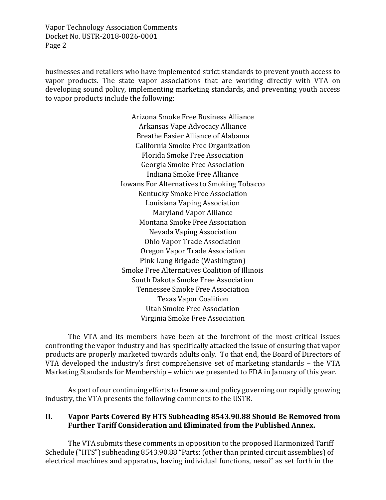businesses and retailers who have implemented strict standards to prevent youth access to vapor products. The state vapor associations that are working directly with VTA on developing sound policy, implementing marketing standards, and preventing youth access to vapor products include the following:

> Arizona Smoke Free Business Alliance Arkansas Vape Advocacy Alliance Breathe Easier Alliance of Alabama California Smoke Free Organization Florida Smoke Free Association Georgia Smoke Free Association Indiana Smoke Free Alliance Iowans For Alternatives to Smoking Tobacco Kentucky Smoke Free Association Louisiana Vaping Association Maryland Vapor Alliance Montana Smoke Free Association Nevada Vaping Association Ohio Vapor Trade Association Oregon Vapor Trade Association Pink Lung Brigade (Washington) Smoke Free Alternatives Coalition of Illinois South Dakota Smoke Free Association Tennessee Smoke Free Association Texas Vapor Coalition Utah Smoke Free Association Virginia Smoke Free Association

The VTA and its members have been at the forefront of the most critical issues confronting the vapor industry and has specifically attacked the issue of ensuring that vapor products are properly marketed towards adults only. To that end, the Board of Directors of VTA developed the industry's first comprehensive set of marketing standards – the VTA Marketing Standards for Membership – which we presented to FDA in January of this year.

As part of our continuing efforts to frame sound policy governing our rapidly growing industry, the VTA presents the following comments to the USTR.

#### **II. Vapor Parts Covered By HTS Subheading 8543.90.88 Should Be Removed from Further Tariff Consideration and Eliminated from the Published Annex.**

The VTA submits these comments in opposition to the proposed Harmonized Tariff Schedule ("HTS") subheading 8543.90.88 "Parts: (other than printed circuit assemblies) of electrical machines and apparatus, having individual functions, nesoi" as set forth in the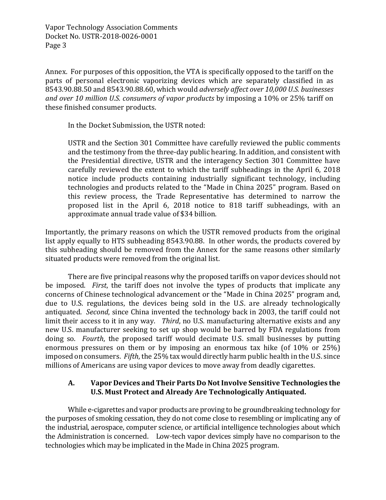Annex. For purposes of this opposition, the VTA is specifically opposed to the tariff on the parts of personal electronic vaporizing devices which are separately classified in as 8543.90.88.50 and 8543.90.88.60, which would *adversely affect over 10,000 U.S. businesses and over 10 million U.S. consumers of vapor products* by imposing a 10% or 25% tariff on these finished consumer products.

In the Docket Submission, the USTR noted:

USTR and the Section 301 Committee have carefully reviewed the public comments and the testimony from the three-day public hearing. In addition, and consistent with the Presidential directive, USTR and the interagency Section 301 Committee have carefully reviewed the extent to which the tariff subheadings in the April 6, 2018 notice include products containing industrially significant technology, including technologies and products related to the "Made in China 2025" program. Based on this review process, the Trade Representative has determined to narrow the proposed list in the April 6, 2018 notice to 818 tariff subheadings, with an approximate annual trade value of \$34 billion.

Importantly, the primary reasons on which the USTR removed products from the original list apply equally to HTS subheading 8543.90.88. In other words, the products covered by this subheading should be removed from the Annex for the same reasons other similarly situated products were removed from the original list.

There are five principal reasons why the proposed tariffs on vapor devices should not be imposed. *First*, the tariff does not involve the types of products that implicate any concerns of Chinese technological advancement or the "Made in China 2025" program and, due to U.S. regulations, the devices being sold in the U.S. are already technologically antiquated. *Second*, since China invented the technology back in 2003, the tariff could not limit their access to it in any way. *Third*, no U.S. manufacturing alternative exists and any new U.S. manufacturer seeking to set up shop would be barred by FDA regulations from doing so. *Fourth*, the proposed tariff would decimate U.S. small businesses by putting enormous pressures on them or by imposing an enormous tax hike (of 10% or 25%) imposed on consumers. *Fifth*, the 25% tax would directly harm public health in the U.S. since millions of Americans are using vapor devices to move away from deadly cigarettes.

# **A. Vapor Devices and Their Parts Do Not Involve Sensitive Technologies the U.S. Must Protect and Already Are Technologically Antiquated.**

While e-cigarettes and vapor products are proving to be groundbreaking technology for the purposes of smoking cessation, they do not come close to resembling or implicating any of the industrial, aerospace, computer science, or artificial intelligence technologies about which the Administration is concerned. Low-tech vapor devices simply have no comparison to the technologies which may be implicated in the Made in China 2025 program.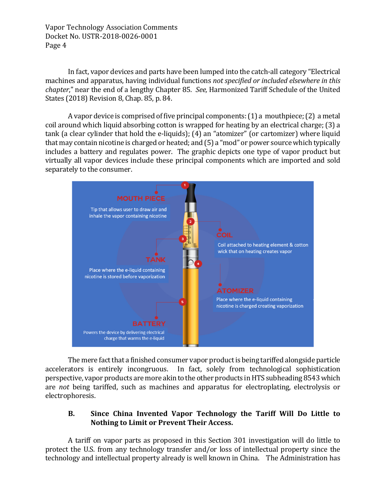In fact, vapor devices and parts have been lumped into the catch-all category "Electrical machines and apparatus, having individual functions *not specified or included elsewhere in this chapter*," near the end of a lengthy Chapter 85. *See,* Harmonized Tariff Schedule of the United States (2018) Revision 8, Chap. 85, p. 84.

A vapor device is comprised of five principal components: (1) a mouthpiece; (2) a metal coil around which liquid absorbing cotton is wrapped for heating by an electrical charge; (3) a tank (a clear cylinder that hold the e-liquids); (4) an "atomizer" (or cartomizer) where liquid that may contain nicotine is charged or heated; and (5) a "mod" or power source which typically includes a battery and regulates power. The graphic depicts one type of vapor product but virtually all vapor devices include these principal components which are imported and sold separately to the consumer.



The mere fact that a finished consumer vapor product is being tariffed alongside particle accelerators is entirely incongruous. In fact, solely from technological sophistication perspective, vapor products are more akin to the other products in HTS subheading 8543 which are *not* being tariffed, such as machines and apparatus for electroplating, electrolysis or electrophoresis.

# **B. Since China Invented Vapor Technology the Tariff Will Do Little to Nothing to Limit or Prevent Their Access.**

A tariff on vapor parts as proposed in this Section 301 investigation will do little to protect the U.S. from any technology transfer and/or loss of intellectual property since the technology and intellectual property already is well known in China. The Administration has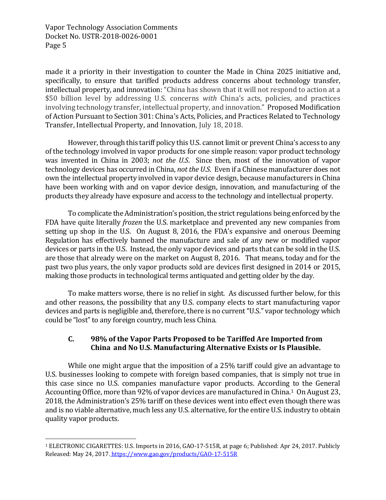made it a priority in their investigation to counter the Made in China 2025 initiative and, specifically, to ensure that tariffed products address concerns about technology transfer, intellectual property, and innovation: "China has shown that it will not respond to action at a \$50 billion level by addressing U.S. concerns *with* China's acts, policies, and practices involving technology transfer, intellectual property, and innovation." Proposed Modification of Action Pursuant to Section 301: China's Acts, Policies, and Practices Related to Technology Transfer, Intellectual Property, and Innovation, July 18, 2018.

However, through this tariff policy this U.S. cannot limit or prevent China's access to any of the technology involved in vapor products for one simple reason: vapor product technology was invented in China in 2003; *not the U.S*. Since then, most of the innovation of vapor technology devices has occurred in China, *not the U.S*. Even if a Chinese manufacturer does not own the intellectual property involved in vapor device design, because manufacturers in China have been working with and on vapor device design, innovation, and manufacturing of the products they already have exposure and access to the technology and intellectual property.

To complicate the Administration's position, the strict regulations being enforced by the FDA have quite literally *frozen* the U.S. marketplace and prevented any new companies from setting up shop in the U.S. On August 8, 2016, the FDA's expansive and onerous Deeming Regulation has effectively banned the manufacture and sale of any new or modified vapor devices or parts in the U.S. Instead, the only vapor devices and parts that can be sold in the U.S. are those that already were on the market on August 8, 2016. That means, today and for the past two plus years, the only vapor products sold are devices first designed in 2014 or 2015, making those products in technological terms antiquated and getting older by the day.

To make matters worse, there is no relief in sight. As discussed further below, for this and other reasons, the possibility that any U.S. company elects to start manufacturing vapor devices and parts is negligible and, therefore, there is no current "U.S." vapor technology which could be "lost" to any foreign country, much less China.

# **C. 98% of the Vapor Parts Proposed to be Tariffed Are Imported from China and No U.S. Manufacturing Alternative Exists or Is Plausible.**

While one might argue that the imposition of a 25% tariff could give an advantage to U.S. businesses looking to compete with foreign based companies, that is simply not true in this case since no U.S. companies manufacture vapor products. According to the General Accounting Office, more than 92% of vapor devices are manufactured in China.<sup>1</sup> On August 23, 2018, the Administration's 25% tariff on these devices went into effect even though there was and is no viable alternative, much less any U.S. alternative, for the entire U.S. industry to obtain quality vapor products.

<sup>1</sup> ELECTRONIC CIGARETTES: U.S. Imports in 2016, GAO-17-515R, at page 6; Published: Apr 24, 2017. Publicly Released: May 24, 2017. https://www.gao.gov/products/GAO-17-515R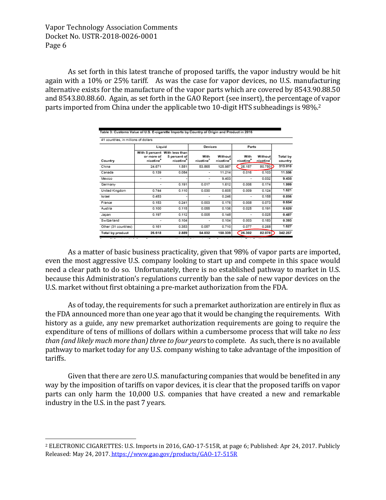As set forth in this latest tranche of proposed tariffs, the vapor industry would be hit again with a 10% or 25% tariff. As was the case for vapor devices, no U.S. manufacturing alternative exists for the manufacture of the vapor parts which are covered by 8543.90.88.50 and 8543.80.88.60. Again, as set forth in the GAO Report (see insert), the percentage of vapor parts imported from China under the applicable two 10-digit HTS subheadings is 98%.<sup>2</sup>

| Country              | Liguid                                                               |                                       | <b>Devices</b>                |                                  | Parts                         |                                  |                     |
|----------------------|----------------------------------------------------------------------|---------------------------------------|-------------------------------|----------------------------------|-------------------------------|----------------------------------|---------------------|
|                      | With 5 percent With less than<br>or more of<br>nicotine <sup>*</sup> | 5 percent of<br>nicotine <sup>5</sup> | With<br>nicotine <sup>c</sup> | Without<br>nicotine <sup>®</sup> | With<br>nicotine <sup>*</sup> | Without<br>nicotine <sup>7</sup> | Total by<br>country |
| China                | 24.671                                                               | 1.581                                 | 53.865                        | 125.987                          | 26.157                        | 80.750                           | 313.010             |
| Canada               | 0.139                                                                | 0.084                                 | ۰                             | 11.214                           | 0.016                         | 0.103                            | 11.556              |
| Mexico               | ۰                                                                    |                                       | ۰                             | 9.403                            | ٠                             | 0.032                            | 9.435               |
| Germany              | $\overline{\phantom{a}}$                                             | 0.191                                 | 0.017                         | 1.612                            | 0.006                         | 0.174                            | 1.999               |
| United Kingdom       | 0.744                                                                | 0.110                                 | 0.030                         | 0.605                            | 0.009                         | 0.124                            | 1.621               |
| Israel               | 0.453                                                                |                                       | ۰                             | 0.246                            | ۰                             | 0.158                            | 0.856               |
| France               | 0.153                                                                | 0.241                                 | 0.003                         | 0.176                            | 0.008                         | 0.073                            | 0.654               |
| Austria              | 0.100                                                                | 0.115                                 | 0.055                         | 0.136                            | 0.025                         | 0.191                            | 0.620               |
| Japan                | 0.197                                                                | 0.112                                 | 0.005                         | 0.148                            | ٠                             | 0.025                            | 0.487               |
| Switzerland          | ۰                                                                    | 0.104                                 | ۰                             | 0.104                            | 0.003                         | 0.183                            | 0.393               |
| Other (31 countries) | 0.161                                                                | 0.353                                 | 0.057                         | 0.710                            | 0.077                         | 0.268                            | 1.627               |
| Total by product     | 26.618                                                               | 2.889                                 | 54.032                        | 150.339                          | 26.302                        | 82.078                           | 342.257             |

As a matter of basic business practicality, given that 98% of vapor parts are imported, even the most aggressive U.S. company looking to start up and compete in this space would need a clear path to do so. Unfortunately, there is no established pathway to market in U.S. because this Administration's regulations currently ban the sale of new vapor devices on the U.S. market without first obtaining a pre-market authorization from the FDA.

As of today, the requirements for such a premarket authorization are entirely in flux as the FDA announced more than one year ago that it would be changing the requirements. With history as a guide, any new premarket authorization requirements are going to require the expenditure of tens of millions of dollars within a cumbersome process that will take *no less than (and likely much more than) three to four years* to complete. As such, there is no available pathway to market today for any U.S. company wishing to take advantage of the imposition of tariffs.

Given that there are zero U.S. manufacturing companies that would be benefited in any way by the imposition of tariffs on vapor devices, it is clear that the proposed tariffs on vapor parts can only harm the 10,000 U.S. companies that have created a new and remarkable industry in the U.S. in the past 7 years.

<sup>2</sup> ELECTRONIC CIGARETTES: U.S. Imports in 2016, GAO-17-515R, at page 6; Published: Apr 24, 2017. Publicly Released: May 24, 2017. https://www.gao.gov/products/GAO-17-515R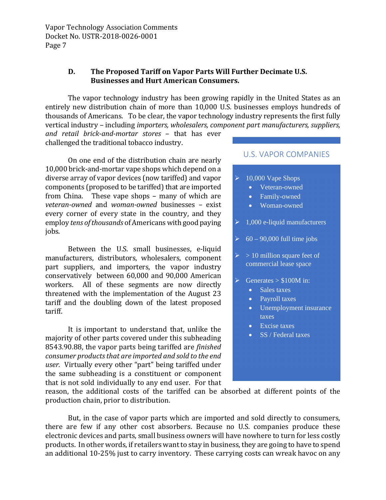#### **D. The Proposed Tariff on Vapor Parts Will Further Decimate U.S. Businesses and Hurt American Consumers.**

The vapor technology industry has been growing rapidly in the United States as an entirely new distribution chain of more than 10,000 U.S. businesses employs hundreds of thousands of Americans. To be clear, the vapor technology industry represents the first fully vertical industry – including *importers, wholesalers, component part manufacturers, suppliers,*

*and retail brick-and-mortar stores* – that has ever challenged the traditional tobacco industry.

On one end of the distribution chain are nearly 10,000 brick-and-mortar vape shops which depend on a diverse array of vapor devices (now tariffed) and vapor  $\rightarrow$ components (proposed to be tariffed) that are imported from China. These vape shops – many of which are *veteran-owned* and *woman-owned* businesses – exist every corner of every state in the country, and they employ *tens of thousands* of Americans with good paying jobs.

Between the U.S. small businesses, e-liquid manufacturers, distributors, wholesalers, component part suppliers, and importers, the vapor industry conservatively between 60,000 and 90,000 American workers. All of these segments are now directly threatened with the implementation of the August 23 tariff and the doubling down of the latest proposed tariff.

It is important to understand that, unlike the majority of other parts covered under this subheading 8543.90.88, the vapor parts being tariffed are *finished consumer products that are imported and sold to the end user.* Virtually every other "part" being tariffed under the same subheading is a constituent or component that is not sold individually to any end user. For that

#### U.S. VAPOR COMPANIES

- 10,000 Vape Shops
	- Veteran-owned
	- Family-owned
	- Woman-owned

 $\geq 1,000$  e-liquid manufacturers

- $\geq 60 90,000$  full time jobs
- $> 10$  million square feet of commercial lease space
- $\triangleright$  Generates > \$100M in:
	- Sales taxes
	- Payroll taxes
	- Unemployment insurance taxes
	- Excise taxes
	- SS / Federal taxes

reason, the additional costs of the tariffed can be absorbed at different points of the production chain, prior to distribution.

But, in the case of vapor parts which are imported and sold directly to consumers, there are few if any other cost absorbers. Because no U.S. companies produce these electronic devices and parts, small business owners will have nowhere to turn for less costly products. In other words, if retailers want to stay in business, they are going to have to spend an additional 10-25% just to carry inventory. These carrying costs can wreak havoc on any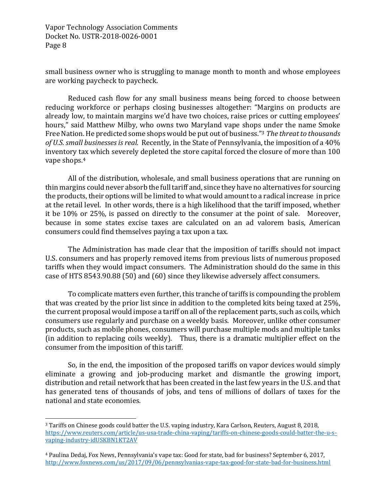small business owner who is struggling to manage month to month and whose employees are working paycheck to paycheck.

Reduced cash flow for any small business means being forced to choose between reducing workforce or perhaps closing businesses altogether: "Margins on products are already low, to maintain margins we'd have two choices, raise prices or cutting employees' hours," said Matthew Milby, who owns two Maryland vape shops under the name Smoke Free Nation. He predicted some shops would be put out of business."<sup>3</sup> *The threat to thousands of U.S. small businesses is real.* Recently, in the State of Pennsylvania, the imposition of a 40% inventory tax which severely depleted the store capital forced the closure of more than 100 vape shops.<sup>4</sup>

All of the distribution, wholesale, and small business operations that are running on thin margins could never absorb the full tariff and, since they have no alternatives for sourcing the products, their options will be limited to what would amount to a radical increase in price at the retail level. In other words, there is a high likelihood that the tariff imposed, whether it be 10% or 25%, is passed on directly to the consumer at the point of sale. Moreover, because in some states excise taxes are calculated on an ad valorem basis, American consumers could find themselves paying a tax upon a tax.

The Administration has made clear that the imposition of tariffs should not impact U.S. consumers and has properly removed items from previous lists of numerous proposed tariffs when they would impact consumers. The Administration should do the same in this case of HTS 8543.90.88 (50) and (60) since they likewise adversely affect consumers.

To complicate matters even further, this tranche of tariffs is compounding the problem that was created by the prior list since in addition to the completed kits being taxed at 25%, the current proposal would impose a tariff on all of the replacement parts, such as coils, which consumers use regularly and purchase on a weekly basis. Moreover, unlike other consumer products, such as mobile phones, consumers will purchase multiple mods and multiple tanks (in addition to replacing coils weekly). Thus, there is a dramatic multiplier effect on the consumer from the imposition of this tariff.

So, in the end, the imposition of the proposed tariffs on vapor devices would simply eliminate a growing and job-producing market and dismantle the growing import, distribution and retail network that has been created in the last few years in the U.S. and that has generated tens of thousands of jobs, and tens of millions of dollars of taxes for the national and state economies.

<sup>3</sup> Tariffs on Chinese goods could batter the U.S. vaping industry, Kara Carlson, Reuters, August 8, 2018, https://www.reuters.com/article/us-usa-trade-china-vaping/tariffs-on-chinese-goods-could-batter-the-u-svaping-industry-idUSKBN1KT2AV

<sup>4</sup> Paulina Dedaj, Fox News, Pennsylvania's vape tax: Good for state, bad for business? September 6, 2017, http://www.foxnews.com/us/2017/09/06/pennsylvanias-vape-tax-good-for-state-bad-for-business.html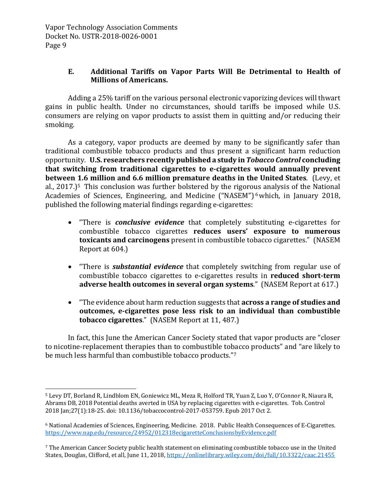# **E. Additional Tariffs on Vapor Parts Will Be Detrimental to Health of Millions of Americans.**

Adding a 25% tariff on the various personal electronic vaporizing devices will thwart gains in public health. Under no circumstances, should tariffs be imposed while U.S. consumers are relying on vapor products to assist them in quitting and/or reducing their smoking.

As a category, vapor products are deemed by many to be significantly safer than traditional combustible tobacco products and thus present a significant harm reduction opportunity. **U.S. researchers recently published a study in** *Tobacco Control* **concluding that switching from traditional cigarettes to e-cigarettes would annually prevent between 1.6 million and 6.6 million premature deaths in the United States**. (Levy, et al.,  $2017$ .)<sup>5</sup> This conclusion was further bolstered by the rigorous analysis of the National Academies of Sciences, Engineering, and Medicine ("NASEM") <sup>6</sup>which, in January 2018, published the following material findings regarding e-cigarettes:

- "There is *conclusive evidence* that completely substituting e-cigarettes for combustible tobacco cigarettes **reduces users' exposure to numerous toxicants and carcinogens** present in combustible tobacco cigarettes." (NASEM Report at 604.)
- "There is *substantial evidence* that completely switching from regular use of combustible tobacco cigarettes to e-cigarettes results in **reduced short-term adverse health outcomes in several organ systems**." (NASEM Report at 617.)
- "The evidence about harm reduction suggests that **across a range of studies and outcomes, e-cigarettes pose less risk to an individual than combustible tobacco cigarettes**." (NASEM Report at 11, 487.)

In fact, this June the American Cancer Society stated that vapor products are "closer to nicotine-replacement therapies than to combustible tobacco products" and "are likely to be much less harmful than combustible tobacco products."<sup>7</sup>

<sup>5</sup> Levy DT, Borland R, Lindblom EN, Goniewicz ML, Meza R, Holford TR, Yuan Z, Luo Y, O'Connor R, Niaura R, Abrams DB, 2018 Potential deaths averted in USA by replacing cigarettes with e-cigarettes. Tob. Control 2018 Jan;27(1):18-25. doi: 10.1136/tobaccocontrol-2017-053759. Epub 2017 Oct 2.

<sup>6</sup> National Academies of Sciences, Engineering, Medicine. 2018. Public Health Consequences of E-Cigarettes. https://www.nap.edu/resource/24952/012318ecigaretteConclusionsbyEvidence.pdf

<sup>7</sup> The American Cancer Society public health statement on eliminating combustible tobacco use in the United States, Douglas, Clifford, et all, June 11, 2018, https://onlinelibrary.wiley.com/doi/full/10.3322/caac.21455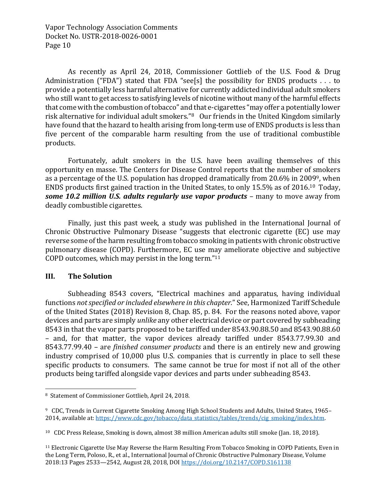As recently as April 24, 2018, Commissioner Gottlieb of the U.S. Food & Drug Administration ("FDA") stated that FDA "see[s] the possibility for ENDS products . . . to provide a potentially less harmful alternative for currently addicted individual adult smokers who still want to get access to satisfying levels of nicotine without many of the harmful effects that come with the combustion of tobacco" and that e-cigarettes "may offer a potentially lower risk alternative for individual adult smokers."<sup>8</sup> Our friends in the United Kingdom similarly have found that the hazard to health arising from long-term use of ENDS products is less than five percent of the comparable harm resulting from the use of traditional combustible products.

Fortunately, adult smokers in the U.S. have been availing themselves of this opportunity en masse. The Centers for Disease Control reports that the number of smokers as a percentage of the U.S. population has dropped dramatically from 20.6% in 20099, when ENDS products first gained traction in the United States, to only 15.5% as of 2016.<sup>10</sup> Today, *some 10.2 million U.S. adults regularly use vapor products* – many to move away from deadly combustible cigarettes.

Finally, just this past week, a study was published in the International Journal of Chronic Obstructive Pulmonary Disease "suggests that electronic cigarette (EC) use may reverse some of the harm resulting from tobacco smoking in patients with chronic obstructive pulmonary disease (COPD). Furthermore, EC use may ameliorate objective and subjective COPD outcomes, which may persist in the long term."<sup>11</sup>

#### **III. The Solution**

Subheading 8543 covers, "Electrical machines and apparatus, having individual functions *not specified or included elsewhere in this chapter*." See, Harmonized Tariff Schedule of the United States (2018) Revision 8, Chap. 85, p. 84. For the reasons noted above, vapor devices and parts are simply *unlike* any other electrical device or part covered by subheading 8543 in that the vapor parts proposed to be tariffed under 8543.90.88.50 and 8543.90.88.60 – and, for that matter, the vapor devices already tariffed under 8543.77.99.30 and 8543.77.99.40 – are *finished consumer products* and there is an entirely new and growing industry comprised of 10,000 plus U.S. companies that is currently in place to sell these specific products to consumers. The same cannot be true for most if not all of the other products being tariffed alongside vapor devices and parts under subheading 8543.

<sup>8</sup> Statement of Commissioner Gottlieb, April 24, 2018.

<sup>9</sup> CDC, Trends in Current Cigarette Smoking Among High School Students and Adults, United States, 1965– 2014, available at: https://www.cdc.gov/tobacco/data\_statistics/tables/trends/cig\_smoking/index.htm.

<sup>10</sup> CDC Press Release, Smoking is down, almost 38 million American adults still smoke (Jan. 18, 2018).

<sup>11</sup> Electronic Cigarette Use May Reverse the Harm Resulting From Tobacco Smoking in COPD Patients, Even in the Long Term, Poloso, R., et al., International Journal of Chronic Obstructive Pulmonary Disease, Volume 2018:13 Pages 2533—2542, August 28, 2018, DOI https://doi.org/10.2147/COPD.S161138